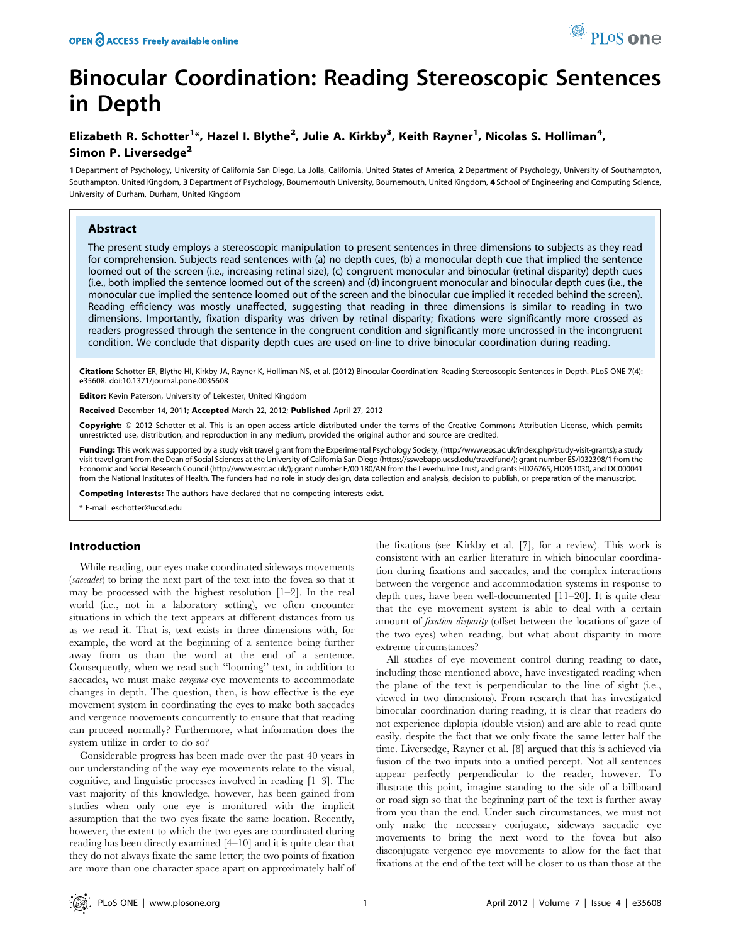# Binocular Coordination: Reading Stereoscopic Sentences in Depth

## Elizabeth R. Schotter<sup>1</sup>\*, Hazel I. Blythe<sup>2</sup>, Julie A. Kirkby<sup>3</sup>, Keith Rayner<sup>1</sup>, Nicolas S. Holliman<sup>4</sup>, Simon P. Liversedge<sup>2</sup>

1 Department of Psychology, University of California San Diego, La Jolla, California, United States of America, 2 Department of Psychology, University of Southampton, Southampton, United Kingdom, 3 Department of Psychology, Bournemouth University, Bournemouth, United Kingdom, 4 School of Engineering and Computing Science, University of Durham, Durham, United Kingdom

## Abstract

The present study employs a stereoscopic manipulation to present sentences in three dimensions to subjects as they read for comprehension. Subjects read sentences with (a) no depth cues, (b) a monocular depth cue that implied the sentence loomed out of the screen (i.e., increasing retinal size), (c) congruent monocular and binocular (retinal disparity) depth cues (i.e., both implied the sentence loomed out of the screen) and (d) incongruent monocular and binocular depth cues (i.e., the monocular cue implied the sentence loomed out of the screen and the binocular cue implied it receded behind the screen). Reading efficiency was mostly unaffected, suggesting that reading in three dimensions is similar to reading in two dimensions. Importantly, fixation disparity was driven by retinal disparity; fixations were significantly more crossed as readers progressed through the sentence in the congruent condition and significantly more uncrossed in the incongruent condition. We conclude that disparity depth cues are used on-line to drive binocular coordination during reading.

Citation: Schotter ER, Blythe HI, Kirkby JA, Rayner K, Holliman NS, et al. (2012) Binocular Coordination: Reading Stereoscopic Sentences in Depth. PLoS ONE 7(4): e35608. doi:10.1371/journal.pone.0035608

Editor: Kevin Paterson, University of Leicester, United Kingdom

Received December 14, 2011; Accepted March 22, 2012; Published April 27, 2012

Copyright: © 2012 Schotter et al. This is an open-access article distributed under the terms of the Creative Commons Attribution License, which permits unrestricted use, distribution, and reproduction in any medium, provided the original author and source are credited.

Funding: This work was supported by a study visit travel grant from the Experimental Psychology Society, (http://www.eps.ac.uk/index.php/study-visit-grants); a study visit travel grant from the Dean of Social Sciences at the University of California San Diego (https://sswebapp.ucsd.edu/travelfund/); grant number ES/I032398/1 from the Economic and Social Research Council (http://www.esrc.ac.uk/); grant number F/00 180/AN from the Leverhulme Trust, and grants HD26765, HD051030, and DC000041 from the National Institutes of Health. The funders had no role in study design, data collection and analysis, decision to publish, or preparation of the manuscript.

Competing Interests: The authors have declared that no competing interests exist.

\* E-mail: eschotter@ucsd.edu

## Introduction

While reading, our eyes make coordinated sideways movements (saccades) to bring the next part of the text into the fovea so that it may be processed with the highest resolution [1–2]. In the real world (i.e., not in a laboratory setting), we often encounter situations in which the text appears at different distances from us as we read it. That is, text exists in three dimensions with, for example, the word at the beginning of a sentence being further away from us than the word at the end of a sentence. Consequently, when we read such ''looming'' text, in addition to saccades, we must make *vergence* eye movements to accommodate changes in depth. The question, then, is how effective is the eye movement system in coordinating the eyes to make both saccades and vergence movements concurrently to ensure that that reading can proceed normally? Furthermore, what information does the system utilize in order to do so?

Considerable progress has been made over the past 40 years in our understanding of the way eye movements relate to the visual, cognitive, and linguistic processes involved in reading [1–3]. The vast majority of this knowledge, however, has been gained from studies when only one eye is monitored with the implicit assumption that the two eyes fixate the same location. Recently, however, the extent to which the two eyes are coordinated during reading has been directly examined [4–10] and it is quite clear that they do not always fixate the same letter; the two points of fixation are more than one character space apart on approximately half of the fixations (see Kirkby et al. [7], for a review). This work is consistent with an earlier literature in which binocular coordination during fixations and saccades, and the complex interactions between the vergence and accommodation systems in response to depth cues, have been well-documented [11–20]. It is quite clear that the eye movement system is able to deal with a certain amount of fixation disparity (offset between the locations of gaze of the two eyes) when reading, but what about disparity in more extreme circumstances?

All studies of eye movement control during reading to date, including those mentioned above, have investigated reading when the plane of the text is perpendicular to the line of sight (i.e., viewed in two dimensions). From research that has investigated binocular coordination during reading, it is clear that readers do not experience diplopia (double vision) and are able to read quite easily, despite the fact that we only fixate the same letter half the time. Liversedge, Rayner et al. [8] argued that this is achieved via fusion of the two inputs into a unified percept. Not all sentences appear perfectly perpendicular to the reader, however. To illustrate this point, imagine standing to the side of a billboard or road sign so that the beginning part of the text is further away from you than the end. Under such circumstances, we must not only make the necessary conjugate, sideways saccadic eye movements to bring the next word to the fovea but also disconjugate vergence eye movements to allow for the fact that fixations at the end of the text will be closer to us than those at the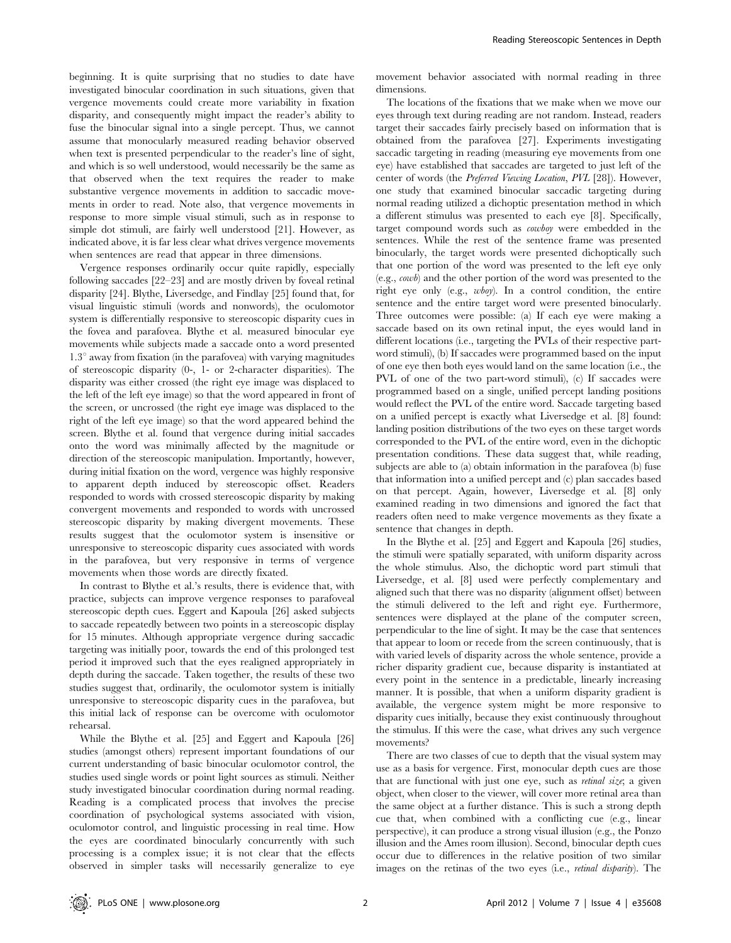beginning. It is quite surprising that no studies to date have investigated binocular coordination in such situations, given that vergence movements could create more variability in fixation disparity, and consequently might impact the reader's ability to fuse the binocular signal into a single percept. Thus, we cannot assume that monocularly measured reading behavior observed when text is presented perpendicular to the reader's line of sight, and which is so well understood, would necessarily be the same as that observed when the text requires the reader to make substantive vergence movements in addition to saccadic movements in order to read. Note also, that vergence movements in response to more simple visual stimuli, such as in response to simple dot stimuli, are fairly well understood [21]. However, as indicated above, it is far less clear what drives vergence movements when sentences are read that appear in three dimensions.

Vergence responses ordinarily occur quite rapidly, especially following saccades [22–23] and are mostly driven by foveal retinal disparity [24]. Blythe, Liversedge, and Findlay [25] found that, for visual linguistic stimuli (words and nonwords), the oculomotor system is differentially responsive to stereoscopic disparity cues in the fovea and parafovea. Blythe et al. measured binocular eye movements while subjects made a saccade onto a word presented  $1.3^{\circ}$  away from fixation (in the parafovea) with varying magnitudes of stereoscopic disparity (0-, 1- or 2-character disparities). The disparity was either crossed (the right eye image was displaced to the left of the left eye image) so that the word appeared in front of the screen, or uncrossed (the right eye image was displaced to the right of the left eye image) so that the word appeared behind the screen. Blythe et al. found that vergence during initial saccades onto the word was minimally affected by the magnitude or direction of the stereoscopic manipulation. Importantly, however, during initial fixation on the word, vergence was highly responsive to apparent depth induced by stereoscopic offset. Readers responded to words with crossed stereoscopic disparity by making convergent movements and responded to words with uncrossed stereoscopic disparity by making divergent movements. These results suggest that the oculomotor system is insensitive or unresponsive to stereoscopic disparity cues associated with words in the parafovea, but very responsive in terms of vergence movements when those words are directly fixated.

In contrast to Blythe et al.'s results, there is evidence that, with practice, subjects can improve vergence responses to parafoveal stereoscopic depth cues. Eggert and Kapoula [26] asked subjects to saccade repeatedly between two points in a stereoscopic display for 15 minutes. Although appropriate vergence during saccadic targeting was initially poor, towards the end of this prolonged test period it improved such that the eyes realigned appropriately in depth during the saccade. Taken together, the results of these two studies suggest that, ordinarily, the oculomotor system is initially unresponsive to stereoscopic disparity cues in the parafovea, but this initial lack of response can be overcome with oculomotor rehearsal.

While the Blythe et al. [25] and Eggert and Kapoula [26] studies (amongst others) represent important foundations of our current understanding of basic binocular oculomotor control, the studies used single words or point light sources as stimuli. Neither study investigated binocular coordination during normal reading. Reading is a complicated process that involves the precise coordination of psychological systems associated with vision, oculomotor control, and linguistic processing in real time. How the eyes are coordinated binocularly concurrently with such processing is a complex issue; it is not clear that the effects observed in simpler tasks will necessarily generalize to eye movement behavior associated with normal reading in three dimensions.

The locations of the fixations that we make when we move our eyes through text during reading are not random. Instead, readers target their saccades fairly precisely based on information that is obtained from the parafovea [27]. Experiments investigating saccadic targeting in reading (measuring eye movements from one eye) have established that saccades are targeted to just left of the center of words (the Preferred Viewing Location, PVL [28]). However, one study that examined binocular saccadic targeting during normal reading utilized a dichoptic presentation method in which a different stimulus was presented to each eye [8]. Specifically, target compound words such as cowboy were embedded in the sentences. While the rest of the sentence frame was presented binocularly, the target words were presented dichoptically such that one portion of the word was presented to the left eye only (e.g., cowb) and the other portion of the word was presented to the right eye only (e.g., wboy). In a control condition, the entire sentence and the entire target word were presented binocularly. Three outcomes were possible: (a) If each eye were making a saccade based on its own retinal input, the eyes would land in different locations (i.e., targeting the PVLs of their respective partword stimuli), (b) If saccades were programmed based on the input of one eye then both eyes would land on the same location (i.e., the PVL of one of the two part-word stimuli), (c) If saccades were programmed based on a single, unified percept landing positions would reflect the PVL of the entire word. Saccade targeting based on a unified percept is exactly what Liversedge et al. [8] found: landing position distributions of the two eyes on these target words corresponded to the PVL of the entire word, even in the dichoptic presentation conditions. These data suggest that, while reading, subjects are able to (a) obtain information in the parafovea (b) fuse that information into a unified percept and (c) plan saccades based on that percept. Again, however, Liversedge et al. [8] only examined reading in two dimensions and ignored the fact that readers often need to make vergence movements as they fixate a sentence that changes in depth.

In the Blythe et al. [25] and Eggert and Kapoula [26] studies, the stimuli were spatially separated, with uniform disparity across the whole stimulus. Also, the dichoptic word part stimuli that Liversedge, et al. [8] used were perfectly complementary and aligned such that there was no disparity (alignment offset) between the stimuli delivered to the left and right eye. Furthermore, sentences were displayed at the plane of the computer screen, perpendicular to the line of sight. It may be the case that sentences that appear to loom or recede from the screen continuously, that is with varied levels of disparity across the whole sentence, provide a richer disparity gradient cue, because disparity is instantiated at every point in the sentence in a predictable, linearly increasing manner. It is possible, that when a uniform disparity gradient is available, the vergence system might be more responsive to disparity cues initially, because they exist continuously throughout the stimulus. If this were the case, what drives any such vergence movements?

There are two classes of cue to depth that the visual system may use as a basis for vergence. First, monocular depth cues are those that are functional with just one eye, such as retinal size; a given object, when closer to the viewer, will cover more retinal area than the same object at a further distance. This is such a strong depth cue that, when combined with a conflicting cue (e.g., linear perspective), it can produce a strong visual illusion (e.g., the Ponzo illusion and the Ames room illusion). Second, binocular depth cues occur due to differences in the relative position of two similar images on the retinas of the two eyes (i.e., retinal disparity). The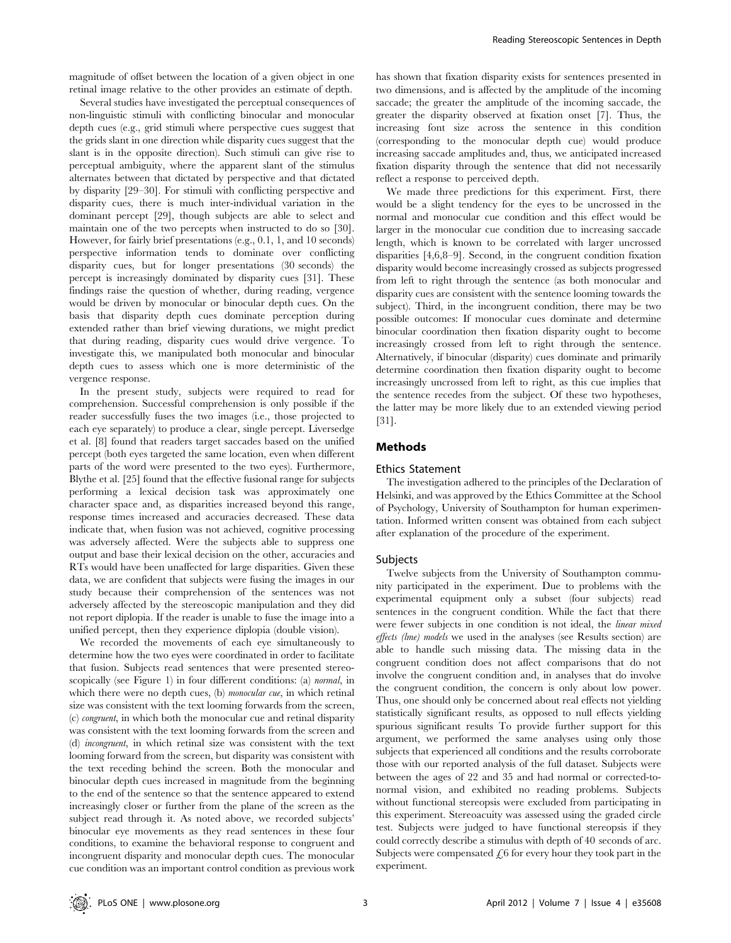magnitude of offset between the location of a given object in one retinal image relative to the other provides an estimate of depth.

Several studies have investigated the perceptual consequences of non-linguistic stimuli with conflicting binocular and monocular depth cues (e.g., grid stimuli where perspective cues suggest that the grids slant in one direction while disparity cues suggest that the slant is in the opposite direction). Such stimuli can give rise to perceptual ambiguity, where the apparent slant of the stimulus alternates between that dictated by perspective and that dictated by disparity [29–30]. For stimuli with conflicting perspective and disparity cues, there is much inter-individual variation in the dominant percept [29], though subjects are able to select and maintain one of the two percepts when instructed to do so [30]. However, for fairly brief presentations (e.g., 0.1, 1, and 10 seconds) perspective information tends to dominate over conflicting disparity cues, but for longer presentations (30 seconds) the percept is increasingly dominated by disparity cues [31]. These findings raise the question of whether, during reading, vergence would be driven by monocular or binocular depth cues. On the basis that disparity depth cues dominate perception during extended rather than brief viewing durations, we might predict that during reading, disparity cues would drive vergence. To investigate this, we manipulated both monocular and binocular depth cues to assess which one is more deterministic of the vergence response.

In the present study, subjects were required to read for comprehension. Successful comprehension is only possible if the reader successfully fuses the two images (i.e., those projected to each eye separately) to produce a clear, single percept. Liversedge et al. [8] found that readers target saccades based on the unified percept (both eyes targeted the same location, even when different parts of the word were presented to the two eyes). Furthermore, Blythe et al. [25] found that the effective fusional range for subjects performing a lexical decision task was approximately one character space and, as disparities increased beyond this range, response times increased and accuracies decreased. These data indicate that, when fusion was not achieved, cognitive processing was adversely affected. Were the subjects able to suppress one output and base their lexical decision on the other, accuracies and RTs would have been unaffected for large disparities. Given these data, we are confident that subjects were fusing the images in our study because their comprehension of the sentences was not adversely affected by the stereoscopic manipulation and they did not report diplopia. If the reader is unable to fuse the image into a unified percept, then they experience diplopia (double vision).

We recorded the movements of each eye simultaneously to determine how the two eyes were coordinated in order to facilitate that fusion. Subjects read sentences that were presented stereoscopically (see Figure 1) in four different conditions: (a) normal, in which there were no depth cues, (b) *monocular cue*, in which retinal size was consistent with the text looming forwards from the screen, (c) congruent, in which both the monocular cue and retinal disparity was consistent with the text looming forwards from the screen and (d) incongruent, in which retinal size was consistent with the text looming forward from the screen, but disparity was consistent with the text receding behind the screen. Both the monocular and binocular depth cues increased in magnitude from the beginning to the end of the sentence so that the sentence appeared to extend increasingly closer or further from the plane of the screen as the subject read through it. As noted above, we recorded subjects' binocular eye movements as they read sentences in these four conditions, to examine the behavioral response to congruent and incongruent disparity and monocular depth cues. The monocular cue condition was an important control condition as previous work has shown that fixation disparity exists for sentences presented in two dimensions, and is affected by the amplitude of the incoming saccade; the greater the amplitude of the incoming saccade, the greater the disparity observed at fixation onset [7]. Thus, the increasing font size across the sentence in this condition (corresponding to the monocular depth cue) would produce increasing saccade amplitudes and, thus, we anticipated increased fixation disparity through the sentence that did not necessarily reflect a response to perceived depth.

We made three predictions for this experiment. First, there would be a slight tendency for the eyes to be uncrossed in the normal and monocular cue condition and this effect would be larger in the monocular cue condition due to increasing saccade length, which is known to be correlated with larger uncrossed disparities [4,6,8–9]. Second, in the congruent condition fixation disparity would become increasingly crossed as subjects progressed from left to right through the sentence (as both monocular and disparity cues are consistent with the sentence looming towards the subject). Third, in the incongruent condition, there may be two possible outcomes: If monocular cues dominate and determine binocular coordination then fixation disparity ought to become increasingly crossed from left to right through the sentence. Alternatively, if binocular (disparity) cues dominate and primarily determine coordination then fixation disparity ought to become increasingly uncrossed from left to right, as this cue implies that the sentence recedes from the subject. Of these two hypotheses, the latter may be more likely due to an extended viewing period [31].

## Methods

#### Ethics Statement

The investigation adhered to the principles of the Declaration of Helsinki, and was approved by the Ethics Committee at the School of Psychology, University of Southampton for human experimentation. Informed written consent was obtained from each subject after explanation of the procedure of the experiment.

## Subjects

Twelve subjects from the University of Southampton community participated in the experiment. Due to problems with the experimental equipment only a subset (four subjects) read sentences in the congruent condition. While the fact that there were fewer subjects in one condition is not ideal, the linear mixed effects (lme) models we used in the analyses (see Results section) are able to handle such missing data. The missing data in the congruent condition does not affect comparisons that do not involve the congruent condition and, in analyses that do involve the congruent condition, the concern is only about low power. Thus, one should only be concerned about real effects not yielding statistically significant results, as opposed to null effects yielding spurious significant results To provide further support for this argument, we performed the same analyses using only those subjects that experienced all conditions and the results corroborate those with our reported analysis of the full dataset. Subjects were between the ages of 22 and 35 and had normal or corrected-tonormal vision, and exhibited no reading problems. Subjects without functional stereopsis were excluded from participating in this experiment. Stereoacuity was assessed using the graded circle test. Subjects were judged to have functional stereopsis if they could correctly describe a stimulus with depth of 40 seconds of arc. Subjects were compensated  $\mathcal{L}$  for every hour they took part in the experiment.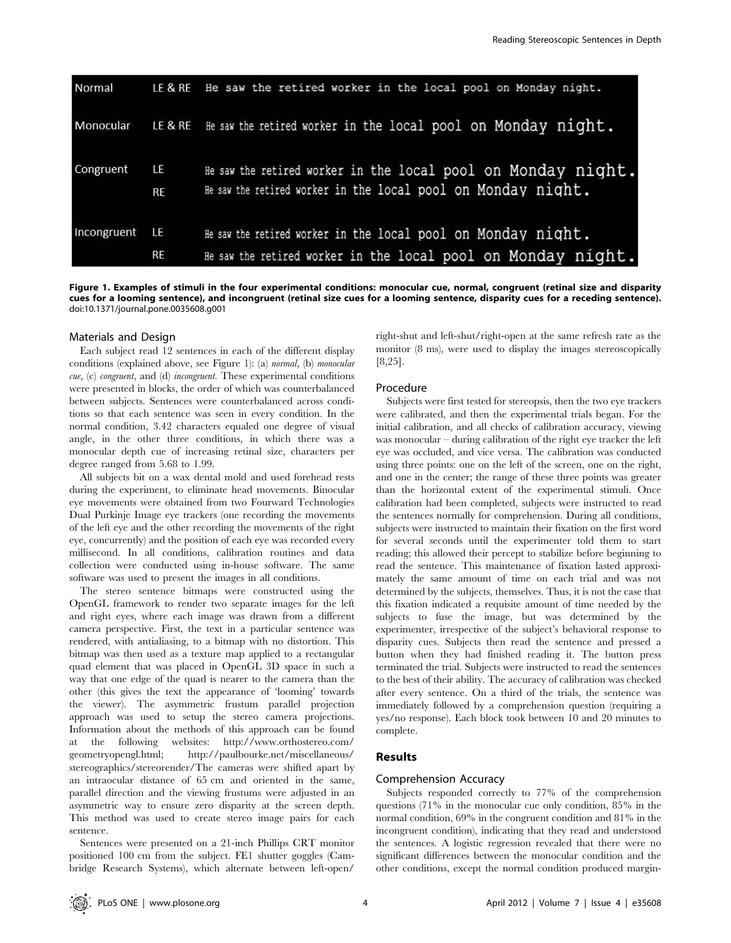| Normal      |                  | LE & RE He saw the retired worker in the local pool on Monday night.                                                         |
|-------------|------------------|------------------------------------------------------------------------------------------------------------------------------|
| Monocular   |                  | LE&RE He saw the retired worker in the local pool on Monday night.                                                           |
| Congruent   | LE<br><b>RE</b>  | He saw the retired worker in the local pool on Monday night.<br>He saw the retired worker in the local pool on Monday night. |
| Incongruent | LE:<br><b>RE</b> | He saw the retired worker in the local pool on Monday night.<br>He saw the retired worker in the local pool on Monday night. |

Figure 1. Examples of stimuli in the four experimental conditions: monocular cue, normal, congruent (retinal size and disparity cues for a looming sentence), and incongruent (retinal size cues for a looming sentence, disparity cues for a receding sentence). doi:10.1371/journal.pone.0035608.g001

## Materials and Design

Each subject read 12 sentences in each of the different display conditions (explained above, see Figure 1): (a) normal, (b) monocular cue, (c) congruent, and (d) incongruent. These experimental conditions were presented in blocks, the order of which was counterbalanced between subjects. Sentences were counterbalanced across conditions so that each sentence was seen in every condition. In the normal condition, 3.42 characters equaled one degree of visual angle, in the other three conditions, in which there was a monocular depth cue of increasing retinal size, characters per degree ranged from 5.68 to 1.99.

All subjects bit on a wax dental mold and used forehead rests during the experiment, to eliminate head movements. Binocular eye movements were obtained from two Fourward Technologies Dual Purkinje Image eye trackers (one recording the movements of the left eye and the other recording the movements of the right eye, concurrently) and the position of each eye was recorded every millisecond. In all conditions, calibration routines and data collection were conducted using in-house software. The same software was used to present the images in all conditions.

The stereo sentence bitmaps were constructed using the OpenGL framework to render two separate images for the left and right eyes, where each image was drawn from a different camera perspective. First, the text in a particular sentence was rendered, with antialiasing, to a bitmap with no distortion. This bitmap was then used as a texture map applied to a rectangular quad element that was placed in OpenGL 3D space in such a way that one edge of the quad is nearer to the camera than the other (this gives the text the appearance of 'looming' towards the viewer). The asymmetric frustum parallel projection approach was used to setup the stereo camera projections. Information about the methods of this approach can be found at the following websites: http://www.orthostereo.com/ geometryopengl.html; http://paulbourke.net/miscellaneous/ stereographics/stereorender/The cameras were shifted apart by an intraocular distance of 65 cm and oriented in the same, parallel direction and the viewing frustums were adjusted in an asymmetric way to ensure zero disparity at the screen depth. This method was used to create stereo image pairs for each sentence.

Sentences were presented on a 21-inch Phillips CRT monitor positioned 100 cm from the subject. FE1 shutter goggles (Cambridge Research Systems), which alternate between left-open/

right-shut and left-shut/right-open at the same refresh rate as the monitor (8 ms), were used to display the images stereoscopically [8,25].

## Procedure

Subjects were first tested for stereopsis, then the two eye trackers were calibrated, and then the experimental trials began. For the initial calibration, and all checks of calibration accuracy, viewing was monocular – during calibration of the right eye tracker the left eye was occluded, and vice versa. The calibration was conducted using three points: one on the left of the screen, one on the right, and one in the center; the range of these three points was greater than the horizontal extent of the experimental stimuli. Once calibration had been completed, subjects were instructed to read the sentences normally for comprehension. During all conditions, subjects were instructed to maintain their fixation on the first word for several seconds until the experimenter told them to start reading; this allowed their percept to stabilize before beginning to read the sentence. This maintenance of fixation lasted approximately the same amount of time on each trial and was not determined by the subjects, themselves. Thus, it is not the case that this fixation indicated a requisite amount of time needed by the subjects to fuse the image, but was determined by the experimenter, irrespective of the subject's behavioral response to disparity cues. Subjects then read the sentence and pressed a button when they had finished reading it. The button press terminated the trial. Subjects were instructed to read the sentences to the best of their ability. The accuracy of calibration was checked after every sentence. On a third of the trials, the sentence was immediately followed by a comprehension question (requiring a yes/no response). Each block took between 10 and 20 minutes to complete.

## Results

## Comprehension Accuracy

Subjects responded correctly to 77% of the comprehension questions (71% in the monocular cue only condition, 85% in the normal condition, 69% in the congruent condition and 81% in the incongruent condition), indicating that they read and understood the sentences. A logistic regression revealed that there were no significant differences between the monocular condition and the other conditions, except the normal condition produced margin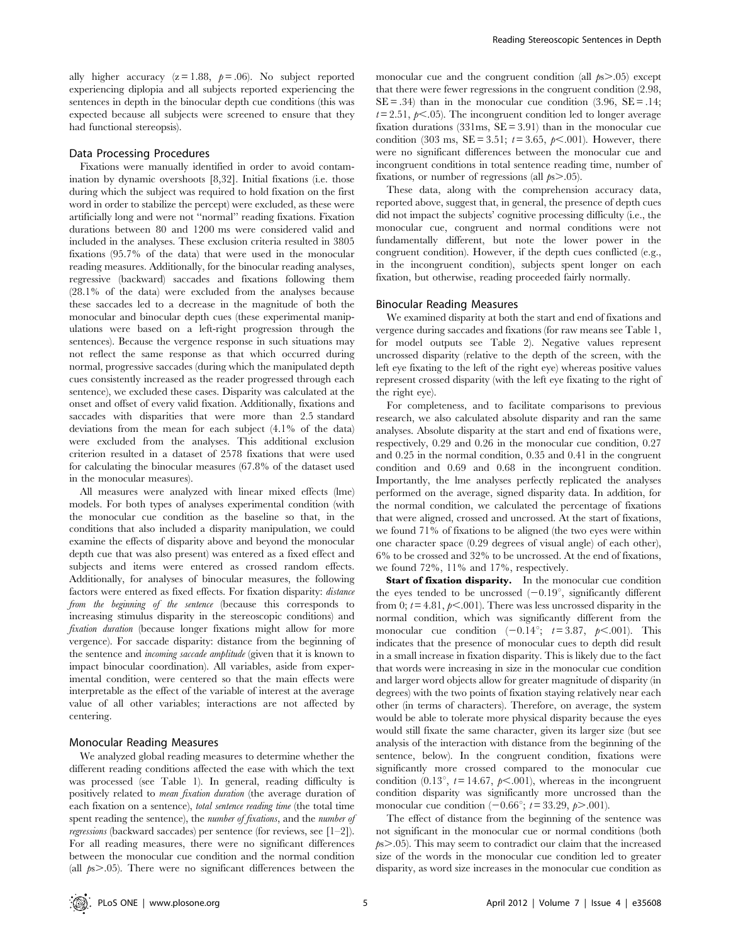ally higher accuracy  $(z = 1.88, p = .06)$ . No subject reported experiencing diplopia and all subjects reported experiencing the sentences in depth in the binocular depth cue conditions (this was expected because all subjects were screened to ensure that they had functional stereopsis).

#### Data Processing Procedures

Fixations were manually identified in order to avoid contamination by dynamic overshoots [8,32]. Initial fixations (i.e. those during which the subject was required to hold fixation on the first word in order to stabilize the percept) were excluded, as these were artificially long and were not ''normal'' reading fixations. Fixation durations between 80 and 1200 ms were considered valid and included in the analyses. These exclusion criteria resulted in 3805 fixations (95.7% of the data) that were used in the monocular reading measures. Additionally, for the binocular reading analyses, regressive (backward) saccades and fixations following them (28.1% of the data) were excluded from the analyses because these saccades led to a decrease in the magnitude of both the monocular and binocular depth cues (these experimental manipulations were based on a left-right progression through the sentences). Because the vergence response in such situations may not reflect the same response as that which occurred during normal, progressive saccades (during which the manipulated depth cues consistently increased as the reader progressed through each sentence), we excluded these cases. Disparity was calculated at the onset and offset of every valid fixation. Additionally, fixations and saccades with disparities that were more than 2.5 standard deviations from the mean for each subject (4.1% of the data) were excluded from the analyses. This additional exclusion criterion resulted in a dataset of 2578 fixations that were used for calculating the binocular measures (67.8% of the dataset used in the monocular measures).

All measures were analyzed with linear mixed effects (lme) models. For both types of analyses experimental condition (with the monocular cue condition as the baseline so that, in the conditions that also included a disparity manipulation, we could examine the effects of disparity above and beyond the monocular depth cue that was also present) was entered as a fixed effect and subjects and items were entered as crossed random effects. Additionally, for analyses of binocular measures, the following factors were entered as fixed effects. For fixation disparity: distance from the beginning of the sentence (because this corresponds to increasing stimulus disparity in the stereoscopic conditions) and fixation duration (because longer fixations might allow for more vergence). For saccade disparity: distance from the beginning of the sentence and incoming saccade amplitude (given that it is known to impact binocular coordination). All variables, aside from experimental condition, were centered so that the main effects were interpretable as the effect of the variable of interest at the average value of all other variables; interactions are not affected by centering.

#### Monocular Reading Measures

We analyzed global reading measures to determine whether the different reading conditions affected the ease with which the text was processed (see Table 1). In general, reading difficulty is positively related to mean fixation duration (the average duration of each fixation on a sentence), total sentence reading time (the total time spent reading the sentence), the number of fixations, and the number of regressions (backward saccades) per sentence (for reviews, see [1–2]). For all reading measures, there were no significant differences between the monocular cue condition and the normal condition (all  $ps > .05$ ). There were no significant differences between the

monocular cue and the congruent condition (all  $ps > .05$ ) except that there were fewer regressions in the congruent condition (2.98,  $SE = .34$ ) than in the monocular cue condition (3.96,  $SE = .14$ ;  $t= 2.51, p<.05$ . The incongruent condition led to longer average fixation durations  $(331ms, SE = 3.91)$  than in the monocular cue condition (303 ms, SE = 3.51;  $t = 3.65$ ,  $p < .001$ ). However, there were no significant differences between the monocular cue and incongruent conditions in total sentence reading time, number of fixations, or number of regressions (all  $p \ge 0.05$ ).

These data, along with the comprehension accuracy data, reported above, suggest that, in general, the presence of depth cues did not impact the subjects' cognitive processing difficulty (i.e., the monocular cue, congruent and normal conditions were not fundamentally different, but note the lower power in the congruent condition). However, if the depth cues conflicted (e.g., in the incongruent condition), subjects spent longer on each fixation, but otherwise, reading proceeded fairly normally.

#### Binocular Reading Measures

We examined disparity at both the start and end of fixations and vergence during saccades and fixations (for raw means see Table 1, for model outputs see Table 2). Negative values represent uncrossed disparity (relative to the depth of the screen, with the left eye fixating to the left of the right eye) whereas positive values represent crossed disparity (with the left eye fixating to the right of the right eye).

For completeness, and to facilitate comparisons to previous research, we also calculated absolute disparity and ran the same analyses. Absolute disparity at the start and end of fixations were, respectively, 0.29 and 0.26 in the monocular cue condition, 0.27 and 0.25 in the normal condition, 0.35 and 0.41 in the congruent condition and 0.69 and 0.68 in the incongruent condition. Importantly, the lme analyses perfectly replicated the analyses performed on the average, signed disparity data. In addition, for the normal condition, we calculated the percentage of fixations that were aligned, crossed and uncrossed. At the start of fixations, we found 71% of fixations to be aligned (the two eyes were within one character space (0.29 degrees of visual angle) of each other), 6% to be crossed and 32% to be uncrossed. At the end of fixations, we found 72%, 11% and 17%, respectively.

Start of fixation disparity. In the monocular cue condition the eyes tended to be uncrossed  $(-0.19^{\circ})$ , significantly different from 0;  $t = 4.81$ ,  $p < .001$ ). There was less uncrossed disparity in the normal condition, which was significantly different from the monocular cue condition  $(-0.14^{\circ}; t=3.87, p<.001)$ . This indicates that the presence of monocular cues to depth did result in a small increase in fixation disparity. This is likely due to the fact that words were increasing in size in the monocular cue condition and larger word objects allow for greater magnitude of disparity (in degrees) with the two points of fixation staying relatively near each other (in terms of characters). Therefore, on average, the system would be able to tolerate more physical disparity because the eyes would still fixate the same character, given its larger size (but see analysis of the interaction with distance from the beginning of the sentence, below). In the congruent condition, fixations were significantly more crossed compared to the monocular cue condition (0.13°,  $t= 14.67$ ,  $p<.001$ ), whereas in the incongruent condition disparity was significantly more uncrossed than the monocular cue condition  $(-0.66^{\circ}; t= 33.29, p>0.01)$ .

The effect of distance from the beginning of the sentence was not significant in the monocular cue or normal conditions (both  $p_s$  $\geq$ .05). This may seem to contradict our claim that the increased size of the words in the monocular cue condition led to greater disparity, as word size increases in the monocular cue condition as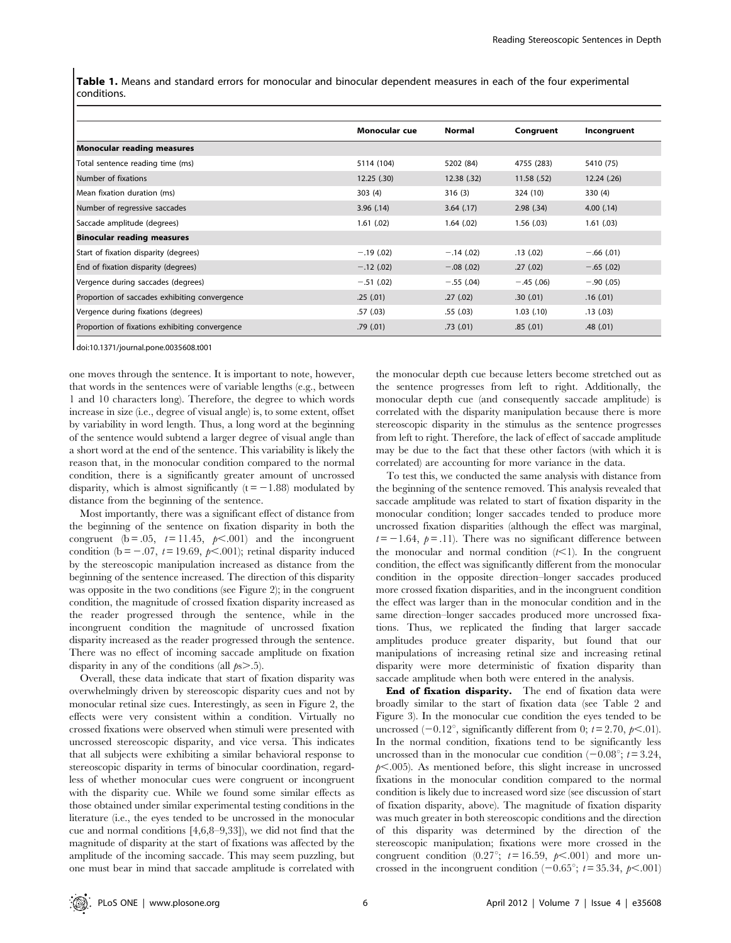Table 1. Means and standard errors for monocular and binocular dependent measures in each of the four experimental conditions.

|                                                | <b>Monocular cue</b> | <b>Normal</b> | Congruent   | Incongruent     |
|------------------------------------------------|----------------------|---------------|-------------|-----------------|
| <b>Monocular reading measures</b>              |                      |               |             |                 |
| Total sentence reading time (ms)               | 5114 (104)           | 5202 (84)     | 4755 (283)  | 5410 (75)       |
| Number of fixations                            | 12.25(.30)           | 12.38(.32)    | 11.58(.52)  | $12.24$ $(.26)$ |
| Mean fixation duration (ms)                    | 303(4)               | 316(3)        | 324 (10)    | 330(4)          |
| Number of regressive saccades                  | 3.96(0.14)           | $3.64$ (.17)  | 2.98(.34)   | $4.00$ $(.14)$  |
| Saccade amplitude (degrees)                    | 1.61(02)             | 1.64(02)      | 1.56(0.03)  | 1.61(0.03)      |
| <b>Binocular reading measures</b>              |                      |               |             |                 |
| Start of fixation disparity (degrees)          | $-.19(.02)$          | $-.14(.02)$   | .13(02)     | $-.66(.01)$     |
| End of fixation disparity (degrees)            | $-.12(.02)$          | $-.08(.02)$   | .27(.02)    | $-.65(.02)$     |
| Vergence during saccades (degrees)             | $-.51(.02)$          | $-.55(.04)$   | $-.45(.06)$ | $-.90(.05)$     |
| Proportion of saccades exhibiting convergence  | .25(.01)             | .27(.02)      | .30(.01)    | .16(.01)        |
| Vergence during fixations (degrees)            | .57(.03)             | .55(.03)      | 1.03(0.10)  | .13(0.03)       |
| Proportion of fixations exhibiting convergence | .79(01)              | .73(01)       | .85(.01)    | .48(.01)        |

doi:10.1371/journal.pone.0035608.t001

one moves through the sentence. It is important to note, however, that words in the sentences were of variable lengths (e.g., between 1 and 10 characters long). Therefore, the degree to which words increase in size (i.e., degree of visual angle) is, to some extent, offset by variability in word length. Thus, a long word at the beginning of the sentence would subtend a larger degree of visual angle than a short word at the end of the sentence. This variability is likely the reason that, in the monocular condition compared to the normal condition, there is a significantly greater amount of uncrossed disparity, which is almost significantly  $(t = -1.88)$  modulated by distance from the beginning of the sentence.

Most importantly, there was a significant effect of distance from the beginning of the sentence on fixation disparity in both the congruent (b = .05,  $t= 11.45$ ,  $p<.001$ ) and the incongruent condition (b = -.07,  $t= 19.69$ ,  $p<.001$ ); retinal disparity induced by the stereoscopic manipulation increased as distance from the beginning of the sentence increased. The direction of this disparity was opposite in the two conditions (see Figure 2); in the congruent condition, the magnitude of crossed fixation disparity increased as the reader progressed through the sentence, while in the incongruent condition the magnitude of uncrossed fixation disparity increased as the reader progressed through the sentence. There was no effect of incoming saccade amplitude on fixation disparity in any of the conditions (all  $ps > .5$ ).

Overall, these data indicate that start of fixation disparity was overwhelmingly driven by stereoscopic disparity cues and not by monocular retinal size cues. Interestingly, as seen in Figure 2, the effects were very consistent within a condition. Virtually no crossed fixations were observed when stimuli were presented with uncrossed stereoscopic disparity, and vice versa. This indicates that all subjects were exhibiting a similar behavioral response to stereoscopic disparity in terms of binocular coordination, regardless of whether monocular cues were congruent or incongruent with the disparity cue. While we found some similar effects as those obtained under similar experimental testing conditions in the literature (i.e., the eyes tended to be uncrossed in the monocular cue and normal conditions [4,6,8–9,33]), we did not find that the magnitude of disparity at the start of fixations was affected by the amplitude of the incoming saccade. This may seem puzzling, but one must bear in mind that saccade amplitude is correlated with the monocular depth cue because letters become stretched out as the sentence progresses from left to right. Additionally, the monocular depth cue (and consequently saccade amplitude) is correlated with the disparity manipulation because there is more stereoscopic disparity in the stimulus as the sentence progresses from left to right. Therefore, the lack of effect of saccade amplitude may be due to the fact that these other factors (with which it is correlated) are accounting for more variance in the data.

To test this, we conducted the same analysis with distance from the beginning of the sentence removed. This analysis revealed that saccade amplitude was related to start of fixation disparity in the monocular condition; longer saccades tended to produce more uncrossed fixation disparities (although the effect was marginal,  $t = -1.64$ ,  $p = .11$ ). There was no significant difference between the monocular and normal condition  $(t<1)$ . In the congruent condition, the effect was significantly different from the monocular condition in the opposite direction–longer saccades produced more crossed fixation disparities, and in the incongruent condition the effect was larger than in the monocular condition and in the same direction–longer saccades produced more uncrossed fixations. Thus, we replicated the finding that larger saccade amplitudes produce greater disparity, but found that our manipulations of increasing retinal size and increasing retinal disparity were more deterministic of fixation disparity than saccade amplitude when both were entered in the analysis.

End of fixation disparity. The end of fixation data were broadly similar to the start of fixation data (see Table 2 and Figure 3). In the monocular cue condition the eyes tended to be uncrossed  $(-0.12^{\circ})$ , significantly different from 0;  $t = 2.70$ ,  $p < .01$ ). In the normal condition, fixations tend to be significantly less uncrossed than in the monocular cue condition  $(-0.08^{\circ}; t = 3.24,$  $p<.005$ ). As mentioned before, this slight increase in uncrossed fixations in the monocular condition compared to the normal condition is likely due to increased word size (see discussion of start of fixation disparity, above). The magnitude of fixation disparity was much greater in both stereoscopic conditions and the direction of this disparity was determined by the direction of the stereoscopic manipulation; fixations were more crossed in the congruent condition (0.27°;  $t = 16.59$ ,  $p < .001$ ) and more uncrossed in the incongruent condition  $(-0.65^{\circ}; t= 35.34, p<.001)$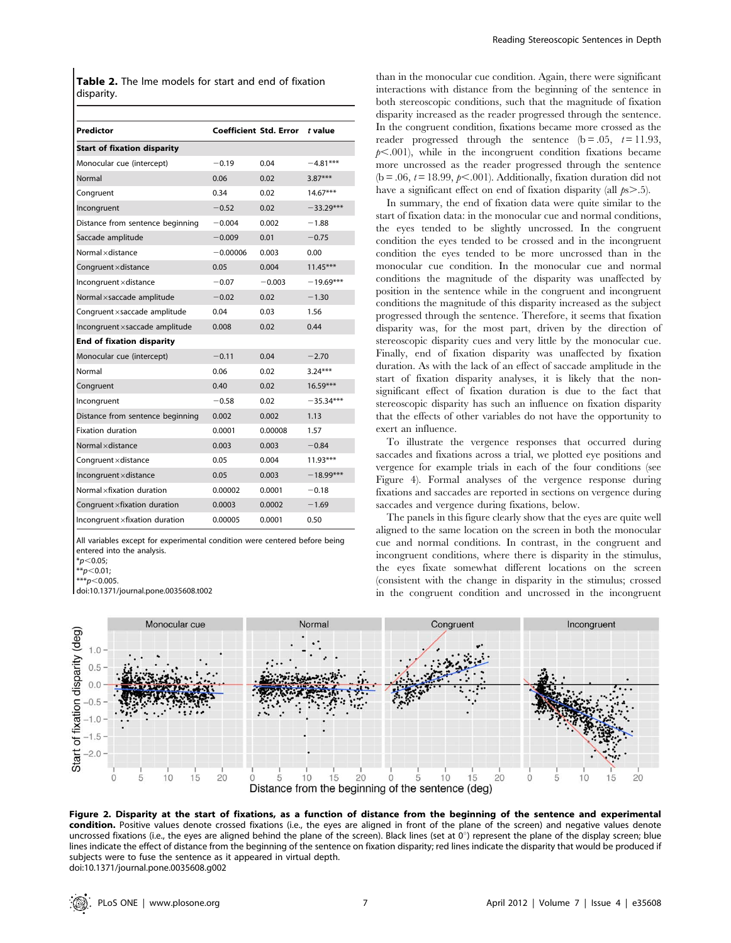Table 2. The lme models for start and end of fixation disparity.

| Predictor                          |            | <b>Coefficient Std. Error</b> | t value     |
|------------------------------------|------------|-------------------------------|-------------|
| <b>Start of fixation disparity</b> |            |                               |             |
| Monocular cue (intercept)          | $-0.19$    | 0.04                          | $-4.81***$  |
| Normal                             | 0.06       | 0.02                          | $3.87***$   |
| Congruent                          | 0.34       | 0.02                          | $14.67***$  |
| Incongruent                        | $-0.52$    | 0.02                          | $-33.29***$ |
| Distance from sentence beginning   | $-0.004$   | 0.002                         | $-1.88$     |
| Saccade amplitude                  | $-0.009$   | 0.01                          | $-0.75$     |
| Normal x distance                  | $-0.00006$ | 0.003                         | 0.00        |
| Congruent x distance               | 0.05       | 0.004                         | $11.45***$  |
| Incongruent x distance             | $-0.07$    | $-0.003$                      | $-19.69***$ |
| Normal x saccade amplitude         | $-0.02$    | 0.02                          | $-1.30$     |
| Congruent x saccade amplitude      | 0.04       | 0.03                          | 1.56        |
| Incongruent x saccade amplitude    | 0.008      | 0.02                          | 0.44        |
| <b>End of fixation disparity</b>   |            |                               |             |
| Monocular cue (intercept)          | $-0.11$    | 0.04                          | $-2.70$     |
| Normal                             | 0.06       | 0.02                          | $3.24***$   |
| Congruent                          | 0.40       | 0.02                          | $16.59***$  |
| Incongruent                        | $-0.58$    | 0.02                          | $-35.34***$ |
| Distance from sentence beginning   | 0.002      | 0.002                         | 1.13        |
| <b>Fixation duration</b>           | 0.0001     | 0.00008                       | 1.57        |
| Normal x distance                  | 0.003      | 0.003                         | $-0.84$     |
| Congruent x distance               | 0.05       | 0.004                         | 11.93***    |
| Incongruent x distance             | 0.05       | 0.003                         | $-18.99***$ |
| Normal x fixation duration         | 0.00002    | 0.0001                        | $-0.18$     |
| Congruent x fixation duration      | 0.0003     | 0.0002                        | $-1.69$     |
| Incongruent xfixation duration     | 0.00005    | 0.0001                        | 0.50        |

All variables except for experimental condition were centered before being entered into the analysis.

 $*p<0.01;$ 

 $***p<0.005$ .

doi:10.1371/journal.pone.0035608.t002

than in the monocular cue condition. Again, there were significant interactions with distance from the beginning of the sentence in both stereoscopic conditions, such that the magnitude of fixation disparity increased as the reader progressed through the sentence. In the congruent condition, fixations became more crossed as the reader progressed through the sentence  $(b = .05, t = 11.93,$  $p<.001$ ), while in the incongruent condition fixations became more uncrossed as the reader progressed through the sentence (b = .06,  $t = 18.99$ ,  $p < .001$ ). Additionally, fixation duration did not have a significant effect on end of fixation disparity (all  $p_s$  > .5).

In summary, the end of fixation data were quite similar to the start of fixation data: in the monocular cue and normal conditions, the eyes tended to be slightly uncrossed. In the congruent condition the eyes tended to be crossed and in the incongruent condition the eyes tended to be more uncrossed than in the monocular cue condition. In the monocular cue and normal conditions the magnitude of the disparity was unaffected by position in the sentence while in the congruent and incongruent conditions the magnitude of this disparity increased as the subject progressed through the sentence. Therefore, it seems that fixation disparity was, for the most part, driven by the direction of stereoscopic disparity cues and very little by the monocular cue. Finally, end of fixation disparity was unaffected by fixation duration. As with the lack of an effect of saccade amplitude in the start of fixation disparity analyses, it is likely that the nonsignificant effect of fixation duration is due to the fact that stereoscopic disparity has such an influence on fixation disparity that the effects of other variables do not have the opportunity to exert an influence.

To illustrate the vergence responses that occurred during saccades and fixations across a trial, we plotted eye positions and vergence for example trials in each of the four conditions (see Figure 4). Formal analyses of the vergence response during fixations and saccades are reported in sections on vergence during saccades and vergence during fixations, below.

The panels in this figure clearly show that the eyes are quite well aligned to the same location on the screen in both the monocular cue and normal conditions. In contrast, in the congruent and incongruent conditions, where there is disparity in the stimulus, the eyes fixate somewhat different locations on the screen (consistent with the change in disparity in the stimulus; crossed in the congruent condition and uncrossed in the incongruent



Figure 2. Disparity at the start of fixations, as a function of distance from the beginning of the sentence and experimental condition. Positive values denote crossed fixations (i.e., the eyes are aligned in front of the plane of the screen) and negative values denote uncrossed fixations (i.e., the eyes are aligned behind the plane of the screen). Black lines (set at  $0^\circ$ ) represent the plane of the display screen; blue lines indicate the effect of distance from the beginning of the sentence on fixation disparity; red lines indicate the disparity that would be produced if subjects were to fuse the sentence as it appeared in virtual depth. doi:10.1371/journal.pone.0035608.g002

 $*p<0.05;$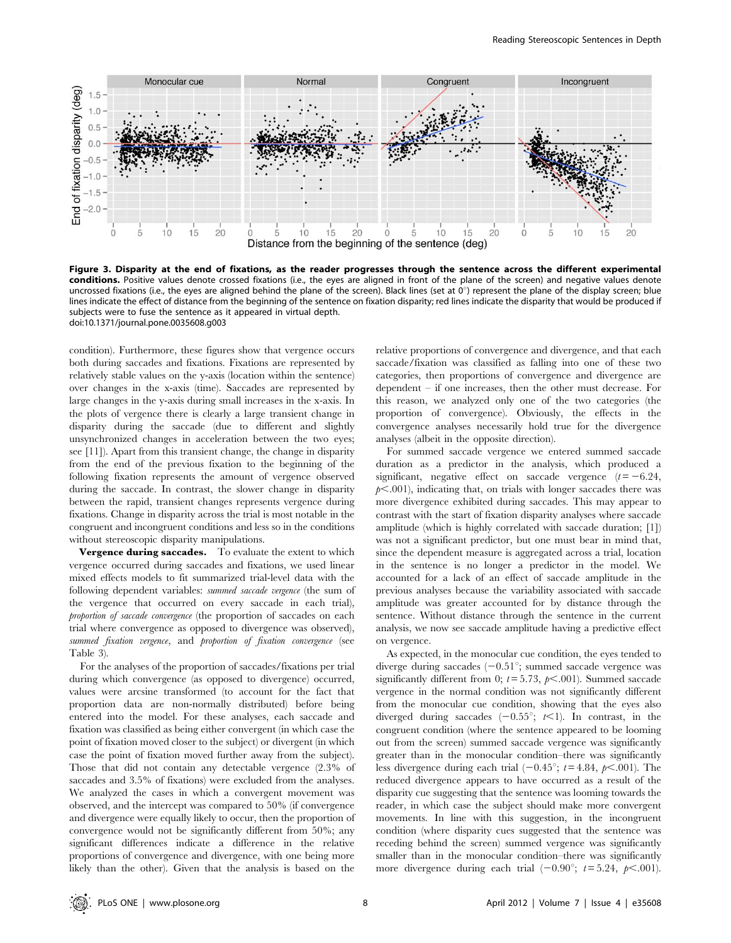

Figure 3. Disparity at the end of fixations, as the reader progresses through the sentence across the different experimental conditions. Positive values denote crossed fixations (i.e., the eyes are aligned in front of the plane of the screen) and negative values denote uncrossed fixations (i.e., the eyes are aligned behind the plane of the screen). Black lines (set at  $0^\circ$ ) represent the plane of the display screen; blue lines indicate the effect of distance from the beginning of the sentence on fixation disparity; red lines indicate the disparity that would be produced if subjects were to fuse the sentence as it appeared in virtual depth. doi:10.1371/journal.pone.0035608.g003

condition). Furthermore, these figures show that vergence occurs both during saccades and fixations. Fixations are represented by relatively stable values on the y-axis (location within the sentence) over changes in the x-axis (time). Saccades are represented by large changes in the y-axis during small increases in the x-axis. In the plots of vergence there is clearly a large transient change in disparity during the saccade (due to different and slightly unsynchronized changes in acceleration between the two eyes; see [11]). Apart from this transient change, the change in disparity from the end of the previous fixation to the beginning of the following fixation represents the amount of vergence observed during the saccade. In contrast, the slower change in disparity between the rapid, transient changes represents vergence during fixations. Change in disparity across the trial is most notable in the congruent and incongruent conditions and less so in the conditions without stereoscopic disparity manipulations.

Vergence during saccades. To evaluate the extent to which vergence occurred during saccades and fixations, we used linear mixed effects models to fit summarized trial-level data with the following dependent variables: summed saccade vergence (the sum of the vergence that occurred on every saccade in each trial), proportion of saccade convergence (the proportion of saccades on each trial where convergence as opposed to divergence was observed), summed fixation vergence, and proportion of fixation convergence (see Table 3).

For the analyses of the proportion of saccades/fixations per trial during which convergence (as opposed to divergence) occurred, values were arcsine transformed (to account for the fact that proportion data are non-normally distributed) before being entered into the model. For these analyses, each saccade and fixation was classified as being either convergent (in which case the point of fixation moved closer to the subject) or divergent (in which case the point of fixation moved further away from the subject). Those that did not contain any detectable vergence (2.3% of saccades and 3.5% of fixations) were excluded from the analyses. We analyzed the cases in which a convergent movement was observed, and the intercept was compared to 50% (if convergence and divergence were equally likely to occur, then the proportion of convergence would not be significantly different from 50%; any significant differences indicate a difference in the relative proportions of convergence and divergence, with one being more likely than the other). Given that the analysis is based on the

relative proportions of convergence and divergence, and that each saccade/fixation was classified as falling into one of these two categories, then proportions of convergence and divergence are dependent – if one increases, then the other must decrease. For this reason, we analyzed only one of the two categories (the proportion of convergence). Obviously, the effects in the convergence analyses necessarily hold true for the divergence analyses (albeit in the opposite direction).

For summed saccade vergence we entered summed saccade duration as a predictor in the analysis, which produced a significant, negative effect on saccade vergence  $(t=-6.24,$  $p<.001$ ), indicating that, on trials with longer saccades there was more divergence exhibited during saccades. This may appear to contrast with the start of fixation disparity analyses where saccade amplitude (which is highly correlated with saccade duration; [1]) was not a significant predictor, but one must bear in mind that, since the dependent measure is aggregated across a trial, location in the sentence is no longer a predictor in the model. We accounted for a lack of an effect of saccade amplitude in the previous analyses because the variability associated with saccade amplitude was greater accounted for by distance through the sentence. Without distance through the sentence in the current analysis, we now see saccade amplitude having a predictive effect on vergence.

As expected, in the monocular cue condition, the eyes tended to diverge during saccades  $(-0.51^{\circ})$ ; summed saccade vergence was significantly different from 0;  $t = 5.73$ ,  $p < .001$ ). Summed saccade vergence in the normal condition was not significantly different from the monocular cue condition, showing that the eyes also diverged during saccades  $(-0.55^{\circ}; t<1)$ . In contrast, in the congruent condition (where the sentence appeared to be looming out from the screen) summed saccade vergence was significantly greater than in the monocular condition–there was significantly less divergence during each trial  $(-0.45^{\circ}; t = 4.84, p<.001)$ . The reduced divergence appears to have occurred as a result of the disparity cue suggesting that the sentence was looming towards the reader, in which case the subject should make more convergent movements. In line with this suggestion, in the incongruent condition (where disparity cues suggested that the sentence was receding behind the screen) summed vergence was significantly smaller than in the monocular condition–there was significantly more divergence during each trial  $(-0.90^{\circ}; t= 5.24, p<.001)$ .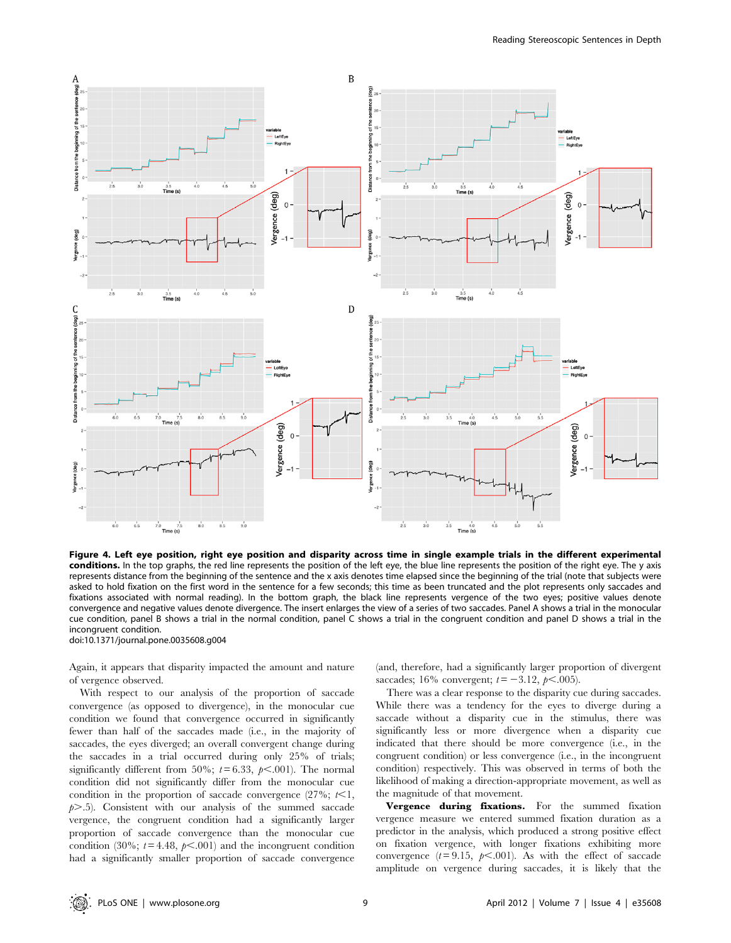

Figure 4. Left eye position, right eye position and disparity across time in single example trials in the different experimental conditions. In the top graphs, the red line represents the position of the left eye, the blue line represents the position of the right eye. The y axis represents distance from the beginning of the sentence and the x axis denotes time elapsed since the beginning of the trial (note that subjects were asked to hold fixation on the first word in the sentence for a few seconds; this time as been truncated and the plot represents only saccades and fixations associated with normal reading). In the bottom graph, the black line represents vergence of the two eyes; positive values denote convergence and negative values denote divergence. The insert enlarges the view of a series of two saccades. Panel A shows a trial in the monocular cue condition, panel B shows a trial in the normal condition, panel C shows a trial in the congruent condition and panel D shows a trial in the incongruent condition. doi:10.1371/journal.pone.0035608.g004

Again, it appears that disparity impacted the amount and nature of vergence observed.

With respect to our analysis of the proportion of saccade convergence (as opposed to divergence), in the monocular cue condition we found that convergence occurred in significantly fewer than half of the saccades made (i.e., in the majority of saccades, the eyes diverged; an overall convergent change during the saccades in a trial occurred during only 25% of trials; significantly different from 50%;  $t = 6.33$ ,  $p \le .001$ ). The normal condition did not significantly differ from the monocular cue condition in the proportion of saccade convergence  $(27\%; t<1,$  $p$  $>$ .5). Consistent with our analysis of the summed saccade vergence, the congruent condition had a significantly larger proportion of saccade convergence than the monocular cue condition (30%;  $t = 4.48$ ,  $p \le .001$ ) and the incongruent condition had a significantly smaller proportion of saccade convergence (and, therefore, had a significantly larger proportion of divergent saccades; 16% convergent;  $t = -3.12$ ,  $p < .005$ ).

There was a clear response to the disparity cue during saccades. While there was a tendency for the eyes to diverge during a saccade without a disparity cue in the stimulus, there was significantly less or more divergence when a disparity cue indicated that there should be more convergence (i.e., in the congruent condition) or less convergence (i.e., in the incongruent condition) respectively. This was observed in terms of both the likelihood of making a direction-appropriate movement, as well as the magnitude of that movement.

Vergence during fixations. For the summed fixation vergence measure we entered summed fixation duration as a predictor in the analysis, which produced a strong positive effect on fixation vergence, with longer fixations exhibiting more convergence  $(t = 9.15, p<.001)$ . As with the effect of saccade amplitude on vergence during saccades, it is likely that the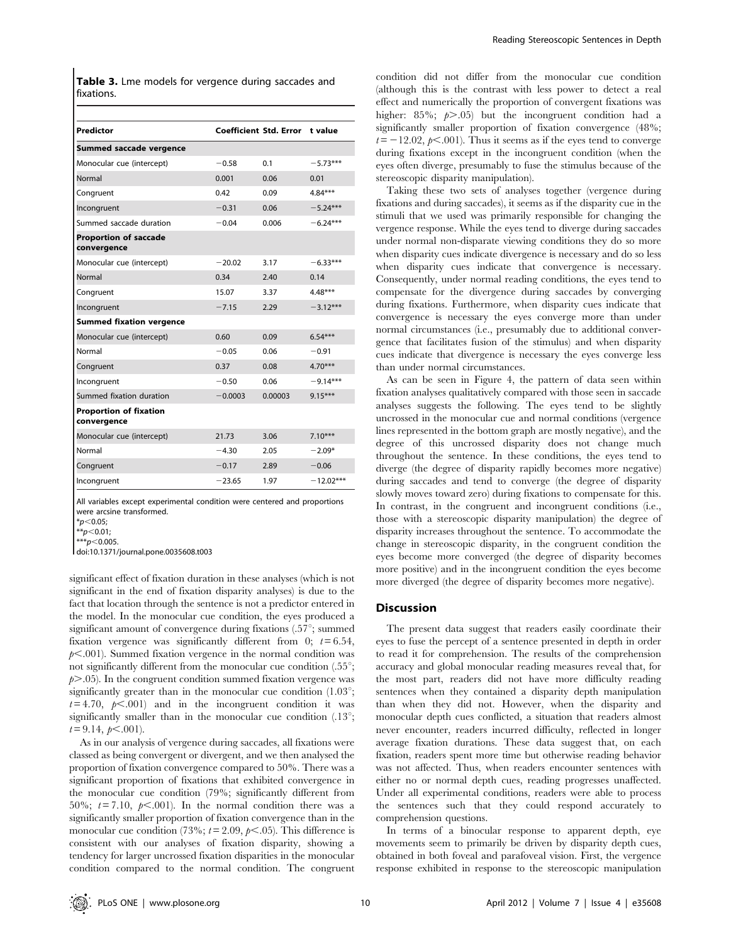Table 3. Lme models for vergence during saccades and fixations.

| Predictor                                    |           | Coefficient Std. Error t value |             |
|----------------------------------------------|-----------|--------------------------------|-------------|
| Summed saccade vergence                      |           |                                |             |
| Monocular cue (intercept)                    | $-0.58$   | 0.1                            | $-5.73***$  |
| Normal                                       | 0.001     | 0.06                           | 0.01        |
| Congruent                                    | 0.42      | 0.09                           | 4.84***     |
| Incongruent                                  | $-0.31$   | 0.06                           | $-5.24***$  |
| Summed saccade duration                      | $-0.04$   | 0.006                          | $-6.24***$  |
| <b>Proportion of saccade</b><br>convergence  |           |                                |             |
| Monocular cue (intercept)                    | $-20.02$  | 3.17                           | $-6.33***$  |
| Normal                                       | 0.34      | 2.40                           | 0.14        |
| Congruent                                    | 15.07     | 3.37                           | $4.48***$   |
| Incongruent                                  | $-7.15$   | 2.29                           | $-3.12***$  |
| <b>Summed fixation vergence</b>              |           |                                |             |
| Monocular cue (intercept)                    | 0.60      | 0.09                           | $6.54***$   |
| Normal                                       | $-0.05$   | 0.06                           | $-0.91$     |
| Congruent                                    | 0.37      | 0.08                           | $4.70***$   |
| Incongruent                                  | $-0.50$   | 0.06                           | $-9.14***$  |
| Summed fixation duration                     | $-0.0003$ | 0.00003                        | $9.15***$   |
| <b>Proportion of fixation</b><br>convergence |           |                                |             |
| Monocular cue (intercept)                    | 21.73     | 3.06                           | $7.10***$   |
| Normal                                       | $-4.30$   | 2.05                           | $-2.09*$    |
| Congruent                                    | $-0.17$   | 2.89                           | $-0.06$     |
| Incongruent                                  | $-23.65$  | 1.97                           | $-12.02***$ |

All variables except experimental condition were centered and proportions were arcsine transformed.

 $*p<$ 0.05;

 $*p<0.01$ ;

 $***p<0.005$ .

doi:10.1371/journal.pone.0035608.t003

significant effect of fixation duration in these analyses (which is not significant in the end of fixation disparity analyses) is due to the fact that location through the sentence is not a predictor entered in the model. In the monocular cue condition, the eyes produced a significant amount of convergence during fixations  $(.57^{\circ})$ ; summed fixation vergence was significantly different from 0;  $t=6.54$ ,  $p<.001$ ). Summed fixation vergence in the normal condition was not significantly different from the monocular cue condition  $(.55^{\circ};$  $p$  $>$ .05). In the congruent condition summed fixation vergence was significantly greater than in the monocular cue condition  $(1.03^{\circ};$  $t = 4.70$ ,  $p \le .001$  and in the incongruent condition it was significantly smaller than in the monocular cue condition  $(.13^{\circ};$  $t = 9.14, p<.001$ .

As in our analysis of vergence during saccades, all fixations were classed as being convergent or divergent, and we then analysed the proportion of fixation convergence compared to 50%. There was a significant proportion of fixations that exhibited convergence in the monocular cue condition (79%; significantly different from 50%;  $t = 7.10$ ,  $p < .001$ ). In the normal condition there was a significantly smaller proportion of fixation convergence than in the monocular cue condition (73%;  $t = 2.09$ ,  $p \le .05$ ). This difference is consistent with our analyses of fixation disparity, showing a tendency for larger uncrossed fixation disparities in the monocular condition compared to the normal condition. The congruent condition did not differ from the monocular cue condition (although this is the contrast with less power to detect a real effect and numerically the proportion of convergent fixations was higher: 85%;  $p > .05$ ) but the incongruent condition had a significantly smaller proportion of fixation convergence  $(48\%;$  $t = -12.02$ ,  $p \le 0.001$ ). Thus it seems as if the eyes tend to converge during fixations except in the incongruent condition (when the eyes often diverge, presumably to fuse the stimulus because of the stereoscopic disparity manipulation).

Taking these two sets of analyses together (vergence during fixations and during saccades), it seems as if the disparity cue in the stimuli that we used was primarily responsible for changing the vergence response. While the eyes tend to diverge during saccades under normal non-disparate viewing conditions they do so more when disparity cues indicate divergence is necessary and do so less when disparity cues indicate that convergence is necessary. Consequently, under normal reading conditions, the eyes tend to compensate for the divergence during saccades by converging during fixations. Furthermore, when disparity cues indicate that convergence is necessary the eyes converge more than under normal circumstances (i.e., presumably due to additional convergence that facilitates fusion of the stimulus) and when disparity cues indicate that divergence is necessary the eyes converge less than under normal circumstances.

As can be seen in Figure 4, the pattern of data seen within fixation analyses qualitatively compared with those seen in saccade analyses suggests the following. The eyes tend to be slightly uncrossed in the monocular cue and normal conditions (vergence lines represented in the bottom graph are mostly negative), and the degree of this uncrossed disparity does not change much throughout the sentence. In these conditions, the eyes tend to diverge (the degree of disparity rapidly becomes more negative) during saccades and tend to converge (the degree of disparity slowly moves toward zero) during fixations to compensate for this. In contrast, in the congruent and incongruent conditions (i.e., those with a stereoscopic disparity manipulation) the degree of disparity increases throughout the sentence. To accommodate the change in stereoscopic disparity, in the congruent condition the eyes become more converged (the degree of disparity becomes more positive) and in the incongruent condition the eyes become more diverged (the degree of disparity becomes more negative).

#### **Discussion**

The present data suggest that readers easily coordinate their eyes to fuse the percept of a sentence presented in depth in order to read it for comprehension. The results of the comprehension accuracy and global monocular reading measures reveal that, for the most part, readers did not have more difficulty reading sentences when they contained a disparity depth manipulation than when they did not. However, when the disparity and monocular depth cues conflicted, a situation that readers almost never encounter, readers incurred difficulty, reflected in longer average fixation durations. These data suggest that, on each fixation, readers spent more time but otherwise reading behavior was not affected. Thus, when readers encounter sentences with either no or normal depth cues, reading progresses unaffected. Under all experimental conditions, readers were able to process the sentences such that they could respond accurately to comprehension questions.

In terms of a binocular response to apparent depth, eye movements seem to primarily be driven by disparity depth cues, obtained in both foveal and parafoveal vision. First, the vergence response exhibited in response to the stereoscopic manipulation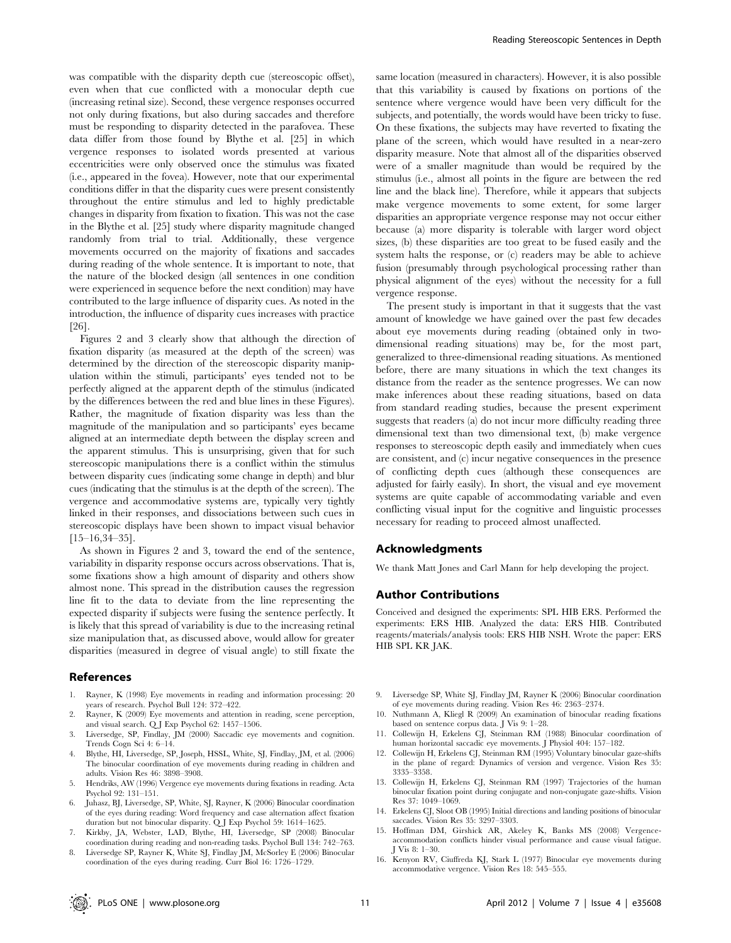was compatible with the disparity depth cue (stereoscopic offset), even when that cue conflicted with a monocular depth cue (increasing retinal size). Second, these vergence responses occurred not only during fixations, but also during saccades and therefore must be responding to disparity detected in the parafovea. These data differ from those found by Blythe et al. [25] in which vergence responses to isolated words presented at various eccentricities were only observed once the stimulus was fixated (i.e., appeared in the fovea). However, note that our experimental conditions differ in that the disparity cues were present consistently throughout the entire stimulus and led to highly predictable changes in disparity from fixation to fixation. This was not the case in the Blythe et al. [25] study where disparity magnitude changed randomly from trial to trial. Additionally, these vergence movements occurred on the majority of fixations and saccades during reading of the whole sentence. It is important to note, that the nature of the blocked design (all sentences in one condition were experienced in sequence before the next condition) may have contributed to the large influence of disparity cues. As noted in the introduction, the influence of disparity cues increases with practice [26].

Figures 2 and 3 clearly show that although the direction of fixation disparity (as measured at the depth of the screen) was determined by the direction of the stereoscopic disparity manipulation within the stimuli, participants' eyes tended not to be perfectly aligned at the apparent depth of the stimulus (indicated by the differences between the red and blue lines in these Figures). Rather, the magnitude of fixation disparity was less than the magnitude of the manipulation and so participants' eyes became aligned at an intermediate depth between the display screen and the apparent stimulus. This is unsurprising, given that for such stereoscopic manipulations there is a conflict within the stimulus between disparity cues (indicating some change in depth) and blur cues (indicating that the stimulus is at the depth of the screen). The vergence and accommodative systems are, typically very tightly linked in their responses, and dissociations between such cues in stereoscopic displays have been shown to impact visual behavior [15–16,34–35].

As shown in Figures 2 and 3, toward the end of the sentence, variability in disparity response occurs across observations. That is, some fixations show a high amount of disparity and others show almost none. This spread in the distribution causes the regression line fit to the data to deviate from the line representing the expected disparity if subjects were fusing the sentence perfectly. It is likely that this spread of variability is due to the increasing retinal size manipulation that, as discussed above, would allow for greater disparities (measured in degree of visual angle) to still fixate the

#### References

- 1. Rayner, K (1998) Eye movements in reading and information processing: 20 years of research. Psychol Bull 124: 372–422.
- 2. Rayner, K (2009) Eye movements and attention in reading, scene perception, and visual search. Q J Exp Psychol 62: 1457–1506.
- 3. Liversedge, SP, Findlay, JM (2000) Saccadic eye movements and cognition. Trends Cogn Sci 4: 6–14.
- 4. Blythe, HI, Liversedge, SP, Joseph, HSSL, White, SJ, Findlay, JM, et al. (2006) The binocular coordination of eye movements during reading in children and adults. Vision Res 46: 3898–3908.
- 5. Hendriks, AW (1996) Vergence eye movements during fixations in reading. Acta Psychol 92: 131–151.
- 6. Juhasz, BJ, Liversedge, SP, White, SJ, Rayner, K (2006) Binocular coordination of the eyes during reading: Word frequency and case alternation affect fixation duration but not binocular disparity. Q J Exp Psychol 59: 1614–1625.
- 7. Kirkby, JA, Webster, LAD, Blythe, HI, Liversedge, SP (2008) Binocular coordination during reading and non-reading tasks. Psychol Bull 134: 742–763.
- 8. Liversedge SP, Rayner K, White SJ, Findlay JM, McSorley E (2006) Binocular coordination of the eyes during reading. Curr Biol 16: 1726–1729.

same location (measured in characters). However, it is also possible that this variability is caused by fixations on portions of the sentence where vergence would have been very difficult for the subjects, and potentially, the words would have been tricky to fuse. On these fixations, the subjects may have reverted to fixating the plane of the screen, which would have resulted in a near-zero disparity measure. Note that almost all of the disparities observed were of a smaller magnitude than would be required by the stimulus (i.e., almost all points in the figure are between the red line and the black line). Therefore, while it appears that subjects make vergence movements to some extent, for some larger disparities an appropriate vergence response may not occur either because (a) more disparity is tolerable with larger word object sizes, (b) these disparities are too great to be fused easily and the system halts the response, or (c) readers may be able to achieve fusion (presumably through psychological processing rather than physical alignment of the eyes) without the necessity for a full vergence response.

The present study is important in that it suggests that the vast amount of knowledge we have gained over the past few decades about eye movements during reading (obtained only in twodimensional reading situations) may be, for the most part, generalized to three-dimensional reading situations. As mentioned before, there are many situations in which the text changes its distance from the reader as the sentence progresses. We can now make inferences about these reading situations, based on data from standard reading studies, because the present experiment suggests that readers (a) do not incur more difficulty reading three dimensional text than two dimensional text, (b) make vergence responses to stereoscopic depth easily and immediately when cues are consistent, and (c) incur negative consequences in the presence of conflicting depth cues (although these consequences are adjusted for fairly easily). In short, the visual and eye movement systems are quite capable of accommodating variable and even conflicting visual input for the cognitive and linguistic processes necessary for reading to proceed almost unaffected.

## Acknowledgments

We thank Matt Jones and Carl Mann for help developing the project.

#### Author Contributions

Conceived and designed the experiments: SPL HIB ERS. Performed the experiments: ERS HIB. Analyzed the data: ERS HIB. Contributed reagents/materials/analysis tools: ERS HIB NSH. Wrote the paper: ERS HIB SPL KR JAK.

- 9. Liversedge SP, White SJ, Findlay JM, Rayner K (2006) Binocular coordination of eye movements during reading. Vision Res 46: 2363–2374.
- 10. Nuthmann A, Kliegl R (2009) An examination of binocular reading fixations based on sentence corpus data. J Vis 9: 1–28.
- 11. Collewijn H, Erkelens CJ, Steinman RM (1988) Binocular coordination of human horizontal saccadic eye movements. J Physiol 404: 157–182.
- 12. Collewijn H, Erkelens CJ, Steinman RM (1995) Voluntary binocular gaze-shifts in the plane of regard: Dynamics of version and vergence. Vision Res 35: 3335–3358.
- 13. Collewijn H, Erkelens CJ, Steinman RM (1997) Trajectories of the human binocular fixation point during conjugate and non-conjugate gaze-shifts. Vision Res 37: 1049–1069.
- 14. Erkelens CJ, Sloot OB (1995) Initial directions and landing positions of binocular saccades. Vision Res 35: 3297–3303.
- 15. Hoffman DM, Girshick AR, Akeley K, Banks MS (2008) Vergenceaccommodation conflicts hinder visual performance and cause visual fatigue. J Vis 8: 1–30.
- 16. Kenyon RV, Ciuffreda KJ, Stark L (1977) Binocular eye movements during accommodative vergence. Vision Res 18: 545–555.